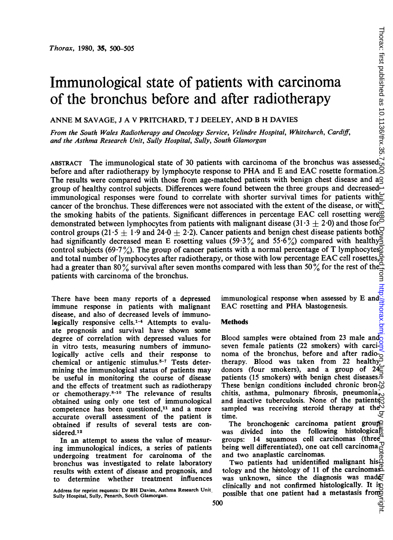# Immunological state of patients with carcinoma of the bronchus before and after radiotherapy

ANNE M SAVAGE, <sup>J</sup> A V PRITCHARD, T <sup>J</sup> DEELEY, AND B H DAVIES

From the South Wales Radiotherapy and Oncology Service, Velindre Hospital, Whitchurch, Cardiff, and the Asthma Research Unit, Sully Hospital, Sully, South Glamorgan

ABSTRACT The immunological state of 30 patients with carcinoma of the bronchus was assessed before and after radiotherapy by lymphocyte response to PHA and E and EAC rosette formation. The results were compared with those from age-matched patients with benign chest disease and a group of healthy control subjects. Differences were found between the three groups and decreased immunological responses were found to correlate with shorter survival times for patients with cancer of the bronchus. These differences were not associated with the extent of the disease, or with. the smoking habits of the patients. Significant differences in percentage EAC cell rosetting were demonstrated between lymphocytes from patients with malignant disease (31.3  $\pm$  2.0) and those for control groups (21.5  $\pm$  1.9 and 24.0  $\pm$  2.2). Cancer patients and benign chest disease patients both had significantly decreased mean E rosetting values (59.3% and 55.6%) compared with healthy control subjects (69.7%). The group of cancer patients with a normal percentage of T lymphocytes. and total number of lymphocytes after radiotherapy, or those with low percentage EAC cell rosettes, had a greater than 80% survival after seven months compared with less than 50% for the rest of the patients with carcinoma of the bronchus. on a gravitation of  $\sigma_2$  and  $\sigma_3$  and  $\sigma_4$  on  $\sigma_5$  in  $\sigma_6$  as  $10\%$  copyright. Thorax: first published from  $\sigma_1$  and  $\sigma_2$  is  $\sigma_3$   $\sigma_4$  as  $20\%$   $\sigma_5$   $\sigma_6$   $\sigma_7$  . So that is a property on  $\sigma_6$  is

immune response in patients with malignant disease, and also of decreased levels of immunologically responsive cells.<sup>1-4</sup> Attempts to evaluate prognosis and survival have shown some degree of correlation with depressed values for in vitro tests, measuring numbers of immunologically active cells and their response to chemical or antigenic stimulus.<sup>5-7</sup> Tests determining the immunological status of patients may be useful in monitoring the course of disease and the effects of treatment such as radiotherapy or chemotherapy.<sup>8-10</sup> The relevance of results obtained using only one test of immunological competence has been questioned, $11$  and a more accurate overall assessment of the patient is obtained if results of several tests are considered.12

In an attempt to assess the value of measuring immunological indices, a series of patients undergoing treatment for carcinoma of the bronchus was investigated to relate laboratory results with extent of disease and prognosis, and to determine whether treatment influences

Address for reprint requests: Dr BH Davies, Asthma Research Unit. Sully Hospital, Sully, Penarth, South Glamorgan.

There have been many reports of a depressed immunological response when assessed by E and EAC rosetting and PHA blastogenesis. horax.bm

## **Methods**

Blood samples were obtained from 23 male and seven female patients (22 smokers) with carcinoma of the bronchus, before and after radio- $\sim$ therapy. Blood was taken from 22 healthy<sup>5</sup> donors (four smokers), and a group of  $24\overline{c}$ patients (15 smokers) with benign chest diseases. $\vec{\sigma}$ These benign conditions included chronic bron-<sup>N</sup><sub>C</sub> chitis, asthma, pulmonary fibrosis, pneumonia $\bar{p}_{\infty}$ and inactive tuberculosis. None of the patients sampled was receiving steroid therapy at the time.

The bronchogenic carcinoma patient group was divided into the following histological groups: 14 squamous cell carcinomas (three being well differentiated), one oat cell carcinoma<sub>re</sub><br>and two anaplastic carcinomas. and two anaplastic carcinomas.

Two patients had unidentified malignant histology and the histology of <sup>11</sup> of the carcinomas was unknown, since the diagnosis was made clinically and not confirmed histologically. It is possible that one patient had a metastasis from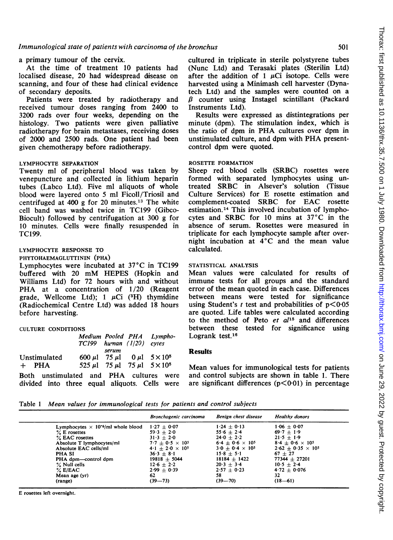# a primary tumour of the cervix.

At the time of treatment 10 patients had localised disease, 20 had widespread disease on scanning, and four of these had clinical evidence of secondary deposits.

Patients were treated by radiotherapy and received tumour doses ranging from 2400 to 3200 rads over four weeks, depending on the histology. Two patients were given palliative radiotherapy for brain metastases, receiving doses of 2000 and 2500 rads. One patient had been given chemotherapy before radiotherapy.

#### LYMPHOCYTE SEPARATION

Twenty ml of peripheral blood was taken by venepuncture and collected in lithium heparin tubes (Labco Ltd). Five ml aliquots of whole blood were layered onto 5 ml Ficoll/Triosil and centrifuged at 400 g for 20 minutes.13 The white cell band was washed twice in TC199 (Gibco-Biocult) followed by centrifugation at 300 g for 10 minutes. Cells were finally resuspended in TC199.

# LYMPHOCYTE RESPONSE TO

PHYTOHAEMAGLUTTININ (PHA) Lymphocytes were incubated at 37°C in TC199 buffered with <sup>20</sup> mM HEPES (Hopkin and Williams Ltd) for 72 hours with and without PHA at a concentration of  $1/20$  (Reagent grade, Wellcome Ltd);  $1 \mu Ci$  (<sup>3</sup>H) thymidine (Radiochemical Centre Ltd) was added 18 hours before harvesting.

#### CULTURE CONDITIONS

|                         |                                         | TC199 human (1/20) cytes | Medium Pooled PHA Lympho-                                                                          |  |
|-------------------------|-----------------------------------------|--------------------------|----------------------------------------------------------------------------------------------------|--|
| Unstimulated<br>$+$ PHA |                                         | serum                    | 600 µ 75 µ 0 µ 5 $\times$ 10 <sup>5</sup><br>$525 \mu$ l 75 $\mu$ l 75 $\mu$ l 5 × 10 <sup>5</sup> |  |
|                         | Both unstimulated and PHA cultures were |                          |                                                                                                    |  |

divided into three equal aliquots. Cells were

cultured in triplicate in sterile polystyrene tubes (Nunc Ltd) and Terasaki plates (Sterilin Ltd) after the addition of 1  $\mu$ Ci isotope. Cells were harvested using a Minimash cell harvester (Dynatech Ltd) and the samples were counted on a  $\beta$  counter using Instagel scintillant (Packard Instruments Ltd).

Results were expressed as distintegrations per minute (dpm). The stimulation index, which is the ratio of dpm in PHA cultures over dpm in unstimulated culture, and dpm with PHA presentcontrol dpm were quoted.

# ROSETTE FORMATION

Sheep red blood cells (SRBC) rosettes were formed with separated lymphocytes using untreated SRBC in Alsever's solution (Tissue Culture Services) for E rosette estimation and complement-coated SRBC for EAC rosette estimation.14 This involved incubation of lymphocytes and SRBC for <sup>10</sup> mins at 37°C in the absence of serum. Rosettes were measured in triplicate for each lymphocyte sample after overnight incubation at 4°C and the mean value calculated.

# STATISTICAL ANALYSIS

Mean values were calculated for results of immune tests for all groups and the standard error of the mean quoted in each case. Differences between means were tested for significance using Student's t test and probabilities of  $p < 0.05$ are quoted. Life tables were calculated according to the method of Peto  $et$   $al^{15}$  and differences between these tested for significance using Logrank test. $16$ 

# **Results**

Mean values for immunological tests for patients and control subjects are shown in table 1. There are significant differences  $(p<0.01)$  in percentage

Table <sup>1</sup> Mean values for immunological tests for patients and control subjects

|                                                       | Bronchogenic carcinoma    | Benign chest disease      | <b>Healthy donors</b>       |
|-------------------------------------------------------|---------------------------|---------------------------|-----------------------------|
| Lymphocytes $\times$ 10 <sup>-6</sup> /ml whole blood | $1.27 + 0.07$             | $1.24 + 0.13$             | $1.06 + 0.07$               |
| $%$ E rosettes                                        | $59.3 + 2.0$              | $55.6 + 2.4$              | $69.7 + 1.9$                |
| % EAC rosettes                                        | $31 \cdot 3 + 2 \cdot 0$  | $24.0 + 2.2$              | $21.5 + 1.9$                |
| Absolute T lymphocytes/ml                             | $7.7 + 0.5 \times 10^{5}$ | $6.4 + 0.6 \times 10^{5}$ | $8.4 + 0.6 \times 10^{5}$   |
| Absolute EAC cells/ml                                 | $4.1 + 2.0 \times 10^{5}$ | $3.0 + 0.4 \times 10^{5}$ | $2.62 + 0.35 \times 10^{5}$ |
| PHA SI                                                | $36.3 + 8.1$              | $15.8 \pm 5.1$            | $67 + 27$                   |
| PHA dpm—control dpm                                   | $19818 + 5044$            | $18184 + 1422$            | $77344 + 27201$             |
| % Null cells                                          | $12.6 + 2.2$              | $20.3 + 3.4$              | $10.5 + 2.4$                |
| $\%$ E/EAC                                            | $2.99 + 0.39$             | $2.57 + 0.23$             | $4.72 + 0.076$              |
| Mean age (yr)                                         | 62                        | 58                        | 32                          |
| (range)                                               | $(39 - 73)$               | $(39 - 70)$               | $(18-61)$                   |

E rosettes left overnight.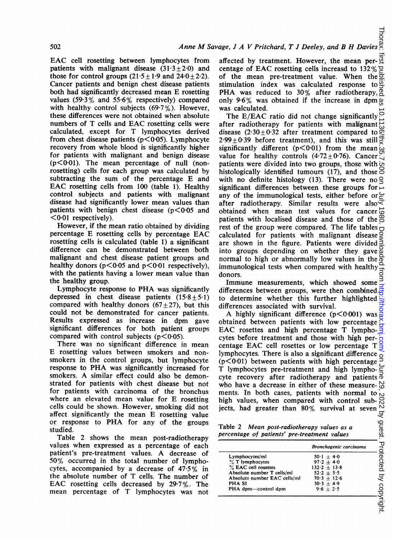EAC cell rosetting between lymphocytes from patients with malignant disease  $(31.3 + 2.0)$  and those for control groups  $(21.5 \pm 1.9$  and  $24.0 \pm 2.2)$ . Cancer patients and benign chest disease patients both had significantly decreased mean E rosetting values (59-3% and 55-6% respectively) compared with healthy control subjects (69.7%). However, these differences were not obtained when absolute numbers of T cells and EAC rosetting cells were calculated, except for T lymphocytes derived from chest disease patients  $(p<0.05)$ . Lymphocyte recovery from whole blood is significantly higher for patients with malignant and benign disease  $(p<0.01)$ . The mean percentage of null (nonrosetting) cells for each group was calculated by subtracting the sum of the percentage E and EAC rosetting cells from <sup>100</sup> (table 1). Healthy control subjects and patients with malignant disease had significantly lower mean values than patients with benign chest disease  $(p<0.05$  and  $\leq 0.01$  respectively).

However, if the mean ratio obtained by dividing percentage E rosetting cells by percentage EAC rosetting cells is calculated (table 1) a significant difference can be demonstrated between both malignant and chest disease patient groups and healthy donors ( $p < 0.05$  and  $p < 0.01$  respectively), with the patients having a lower mean value than the healthy group.

Lymphocyte response to PHA was significantly depressed in chest disease patients  $(15.8+5.1)$ compared with healthy donors  $(67+27)$ , but this could not be demonstrated for cancer patients. Results expressed as increase in dpm gave significant differences for both patient groups compared with control subjects  $(p<0.05)$ .

There was no significant difference in mean E rosetting values between smokers and nonsmokers in the control groups, but lymphocyte response to PHA was significantly increased for smokers. A similar effect could also be demonstrated for patients with chest disease but not for patients with carcinoma of the bronchus where an elevated mean value for E rosetting celIls could be shown. However, smoking did not affect significantly the mean E rosetting value or response to PHA for any of the groups studied.

Table 2 shows the mean post-radiotherapy values when expressed as a percentage of each patient's pre-treatment values. A decrease of 50% occurred in the total number of lymphocytes, accompanied by a decrease of 47.5% in the absolute number of T cells. The number of EAC rosetting cells decreased by 29-7%. The mean percentage of T lymphocytes was not affected by treatment. However, the mean per- $\overline{a}$ centage of EAC rosetting cells increasd to  $132\%$ of the mean pre-treatment value. When the  $\bar{\Xi}$ stimulation index was calculated response to  $\overline{\mathcal{Q}}$ PHA was reduced to 30% after radiotherapy,  $\overline{P}$ only 9-6% was obtained if the increase in dpm was calculated.

The E/EAC ratio did not change significantly  $\frac{1}{2}$ after radiotherapy for patients with maingnant disease  $(2.30 \pm 0.32)$  after treatment compared to  $2.99 \pm 0.39$  before treatment), and this was still  $\overline{5}$ significantly different  $(p<0.01)$  from the mean  $\hat{\omega}$ value for healthy controls  $(4.72 \pm 0.76)$ . Cancer patients were divided into two groups, those with histologically identified tumours (17), and those  $\approx$ with no definite histology (13). There were no  $\trianglelefteq$ significant differences between these groups for  $\overline{\phantom{a}}$ any of the immunological tests, either before or  $\succeq$ after radiotherapy. Similar results were also $\leq$ obtained when mean test values for cancer  $\vec{\omega}$ patients with localised disease and those of the rest of the group were compared. The life tables calculated for patients with malignant disease are shown in the figure. Patients were divided  $\geq$ into groups depending on whether they gave normal to high or abnormally low values in the immunological tests when compared with healthy donors. on June 29, 2022 by guest. Protected by copyright. <http://thorax.bmj.com/> Thorax: first published as 10.1136/thx.35.7.500 on 1 July 1980. Downloaded from

Immune measurements, which showed some differences between groups, were then combined to determine whether this further highlighted differences associated with survival.

A highly significant difference  $(p < 0.001)$  was obtained between patients with low percentage EAC rosettes and high percentage T lymphocytes before treatment and those with high percentage EAC cell rosettes or low percentage T lymphocytes. There is also a significant difference ( $p$ <0.01) between patients with high percentage  $\bar{P}$ T lymphocytes pre-treatment and high lympho- $\Xi$ cyte recovery after radiotherapy and patients  $\vec{\sigma}$ who have a decrease in either of these measure- $\frac{10}{10}$ high values, when compared with control subjects, had greater than 80% survival at seven

| ments. In both cases, patients with normal to $\sim$<br>high values, when compared with control sub-<br>50<br>jects, had greater than 80% survival at seven<br>N<br>ड् |                                |           |  |  |  |  |  |
|------------------------------------------------------------------------------------------------------------------------------------------------------------------------|--------------------------------|-----------|--|--|--|--|--|
| Table 2 Mean post-radiotherapy values as a<br>percentage of patients' pre-treatment values                                                                             |                                | guest.    |  |  |  |  |  |
|                                                                                                                                                                        | Bronchogenic carcinoma         | Protected |  |  |  |  |  |
| Lymphocytes/ml                                                                                                                                                         | $50 \cdot 1 + 4 \cdot 0$       |           |  |  |  |  |  |
| % T lymphocytes                                                                                                                                                        | $97.2 + 4.0$<br>$132.2 + 13.8$ |           |  |  |  |  |  |
| % EAC cell rosettes                                                                                                                                                    |                                |           |  |  |  |  |  |
| Absolute number T cells/ml                                                                                                                                             | $52.2 + 5.5$                   |           |  |  |  |  |  |
| Absolute number EAC cells/ml                                                                                                                                           | $70.3 \pm 12.6$                | ्र        |  |  |  |  |  |
| PHA SI                                                                                                                                                                 | $30.3 \pm 4.9$                 |           |  |  |  |  |  |
| PHA dpm—control dpm                                                                                                                                                    | $9.6 + 2.5$                    |           |  |  |  |  |  |
|                                                                                                                                                                        |                                | copyright |  |  |  |  |  |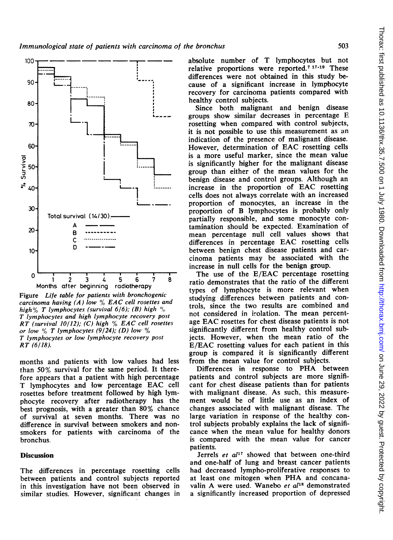

Figure Life table for patients with bronchogenic carcinoma having (A) low  $\%$  EAC cell rosettes and high% T lymphocytes (survival  $6/6$ ); (B) high % T lymphocytes and high lymphocyte recovery post RT (survival  $10/12$ ); (C) high  $\%$  EAC cell rosettes or low  $\%$  T lymphocytes (9/24); (D) low  $\%$ T lymphocytes or low lymphocyte recovery post RT (6/18).

months and patients with low values had less than 50% survival for the same period. It therefore appears that a patient with high percentage T lymphocytes and low percentage EAC cell rosettes before treatment followed by high lymphocyte recovery after radiotherapy has the best prognosis, with a greater than 80% chance of survival at seven months. There was no difference in survival between smokers and nonsmokers for patients with carcinoma of the bronchus.

#### **Discussion**

The differences in percentage rosetting cells between patients and control subjects reported in this investigation have not been observed in similar studies. However, significant changes in absolute number of T lymphocytes but not relative proportions were reported.7 17-19 These differences were not obtained in this study because of a significant increase in lymphocyte recovery for carcinoma patients compared with healthy control subjects.

I~~~~~~~~~~~~~~ .\_\_ \_ \_~~~~~~~~~~~~~~~~~~ groups show similar decreases in percentage E Since both malignant and benign disease rosetting when compared with control subjects, it is not possible to use this measurement as an indication of the presence of malignant disease. However, determination of EAC rosetting cells is a more useful marker, since the mean value is significantly higher for the malignant disease group than either of the mean values for the benign disease and control groups. Although an increase in the proportion of EAC rosetting cells does not always correlate with an increased proportion of monocytes, an increase in the proportion of B lymphocytes is probably only partially responsible, and some monocyte contamination should be expected. Examination of mean percentage null cell values shows that differences in percentage EAC rosetting cells between benign chest disease patients and carcinoma patients may be associated with the increase in null cells for the benign group.

> The use of the E/EAC percentage rosetting ratio demonstrates that the ratio of the different types of lymphocyte is more relevant when studying differences between patients and controls, since the two results are combined and not considered in irolation. The mean percentage EAC rosettes for chest disease patients is not significantly different from healthy control subjects. However, when the mean ratio of the E/EAC rosetting values for each patient in this group is compared it is significantly different from the mean value for control subjects.

> Differences in response to PHA between patients and control subjects are more significant for chest disease patients than for patients with malignant disease. As such, this measurement would be of little use as an index of changes associated with malignant disease. The large variation in response of the healthy control subjects probably explains the lack of significance when the mean value for healthy donors is compared with the mean value for cancer patients.

> Jerrels et  $al^{17}$  showed that between one-third and one-half of lung and breast cancer patients had decreased lympho-proliferative responses to at least one mitogen when PHA and concanavalin A were used. Wanebo et al<sup>18</sup> demonstrated a significantly increased proportion of depressed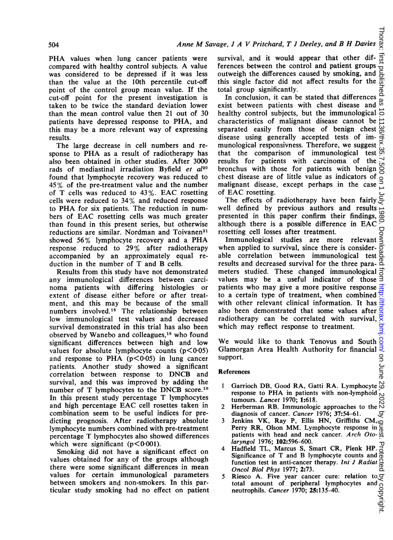PHA values when lung cancer patients were compared with healthy control subjects. A value was considered to be depressed if it was less than the value at the lOth percentile cut-off point of the control group mean value. If the cut-off point for the present investigation is taken to be twice the standard deviation lower than the mean control value then 21 out of 30 patients have depressed response to PHA, and this may be a more relevant way of expressing results.

The large decrease in cell numbers and response to PHA as <sup>a</sup> result of radiotherapy has ailso been obtained in other studies. After 3000 rads of mediastinal irradiation Byfield et al<sup>20</sup> found that lymphocyte recovery was reduced to 45% of the pre-treatment value and the number of T cells was reduced to 43%. EAC rosetting cells were reduced to 34% and reduced response to PHA for six patients. The reduction in numbers of EAC rosetting cells was much greater than found in this present series, but otherwise reductions are similar. Nordman and Toivanen<sup>21</sup> showed 56% lymphocyte recovery and a PHA response reduced to 29% after radiotherapy accompanied by an approximately equal reduction in the number of T and B cells.

Results from this study have not demonstrated any immunological differences between carcinoma patients with differing histologies or extent of disease either before or after treatment, and this may be because of the small numbers involved.<sup>15</sup> The relationship between low immunological test values and decreased survival demonstrated in this trial has also been observed by Wanebo and colleagues,<sup>18</sup> who found significant differences between high and low values for absolute lymphocyte counts  $(p<0.05)$ and response to PHA  $(p<0.05)$  in lung cancer patients. Another study showed a significant correlation between response to DNCB and survival, and this was improved by adding the number of T lymphocytes to the DNCB score.<sup>19</sup> In this present study percentage T lymphocytes and high percentage EAC cell rosettes taken in combination seem to be useful indices for predicting prognosis. After radiotherapy absolute lymphocyte numbers combined with pre-treatment percentage T lymphocytes also showed differences which were significant  $(p<0.001)$ .

Smoking did not have a significant effect on values obtained for any of the groups although there were some significant differences in mean values for certain immunological parameters between smokers and non-smokers. In this particular study smoking had no effect on patient

Thorax: first pub survival, and it would appear that other differences between the control and patient groups outweigh the differences caused by smoking, and this single factor did not affect results for the ल total group significantly.

In conclusion, it can be stated that differences  $\frac{0}{\omega}$ <br>ist between patients with chest disease and  $\frac{\omega}{\omega}$ exist between patients with chest disease and healthy control subjects, but the immunological  $\vec{\phi}$ characteristics of malignant disease cannot be separated easily from those of benign chest disease using generally accepted tests of immunological responsivness. Therefore, we suggest that the comparison of immunological test results for patients with carcinoma of the bronchus with those for patients with benign chest disease are of little value as indicators of mallignant disease, except perhaps in the case of EAC rosetting. on June 29, 2022 by guest. Protected by copyright. <http://thorax.bmj.com/> Thorax: first published as 10.1136/thx.35.7.500 on 1 July 1980. Downloaded from

The effects of radiotherapy have been fairly, well defined by previous authors and results presented in this paper confirm their findings, although there is <sup>a</sup> possible difference in EAC rosetting cell losses after treatment.

⋚ Immunological studies are more relevant when applied to survival, since there is considerable correlation between immunological test results and decreased survival for the three para- $\frac{1}{\alpha}$ meters studied. These changed immunological values may be a useful indicator of those з patients who may give a more positive response to a certain type of treatment, when combined with other relevant clinical information. It has also been demonstrated that some values after radiotherapy can be correlated with survival, which may reflect response to treatment.

We would like to thank Tenovus and South Glamorgan Area Health Authority for financial support. on June

#### References

- <sup>I</sup> Garrioch DB, Good RA, Gatti RA. Lymphocyte response to PHA in patients with non-lymphoid َیِ tumours. Lancet 1970; 1:618.
- tumours. *Lancet* 1970; 1:618.<br>2 Herberman RB. Immunologic approaches to the  $\frac{10}{2}$
- diagnosis of cancer. *Cancer* 1976; 37:54–61.<br>3 Jenkins VK, Ray P, Ellis HN, Griffiths CM, Perry RR, Olson MM. Lymphocyte response in patients with head and neck cancer. Arch Otolaryngol 1976; 102:596-600.
- Hadfield TL, Marcus S, Smart CR, Plenk HP. *Iaryngol* 1976; 102:596–600.<br>Hadfield TL, Marcus S, Smart CR, Plenk HP.  $\frac{1}{0}$  Significance of T and B lymphocyte counts and  $\frac{1}{0}$ function test in anti-cancer therapy. Int J Radiat Oncol Biol Phys 1977; 2:73.
- 5 Riesco A. Five year cancer cure: relation to  $\sigma$ total amount of peripheral lymphocytes and  $\overline{)}$ <br>neutrophils. Cancer 1970; **25:**135-40. neutrophils. Cancer 1970; 25:135-40.